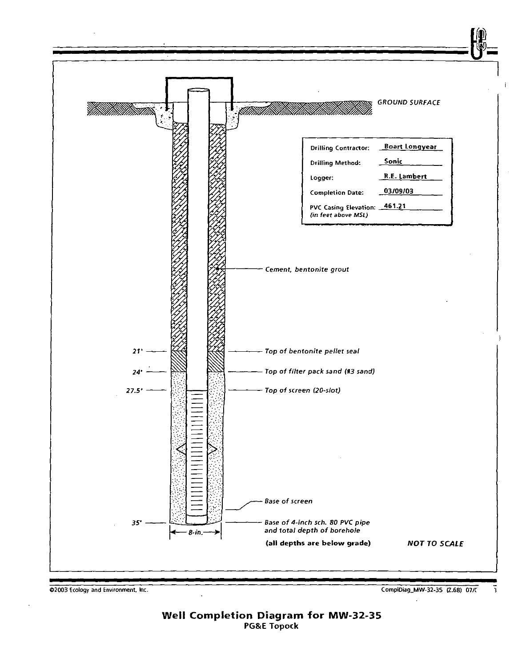

02003 Ecology and Environment. Inc.

CompiDiag\_MW-32-35 (2.68) 07/(